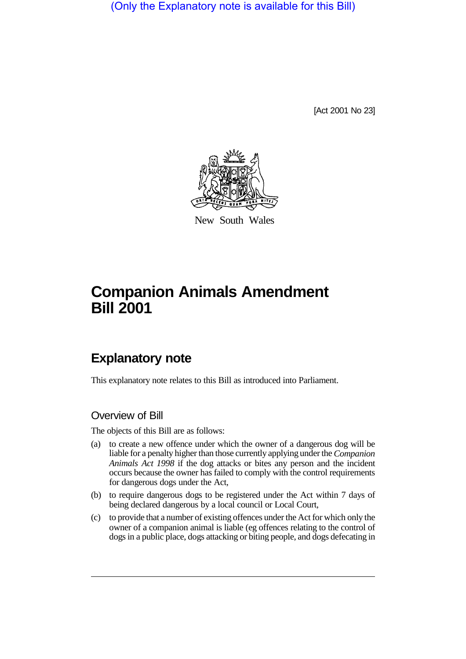(Only the Explanatory note is available for this Bill)

[Act 2001 No 23]



New South Wales

# **Companion Animals Amendment Bill 2001**

## **Explanatory note**

This explanatory note relates to this Bill as introduced into Parliament.

### Overview of Bill

The objects of this Bill are as follows:

- (a) to create a new offence under which the owner of a dangerous dog will be liable for a penalty higher than those currently applying under the *Companion Animals Act 1998* if the dog attacks or bites any person and the incident occurs because the owner has failed to comply with the control requirements for dangerous dogs under the Act,
- (b) to require dangerous dogs to be registered under the Act within 7 days of being declared dangerous by a local council or Local Court,
- (c) to provide that a number of existing offences under the Act for which only the owner of a companion animal is liable (eg offences relating to the control of dogs in a public place, dogs attacking or biting people, and dogs defecating in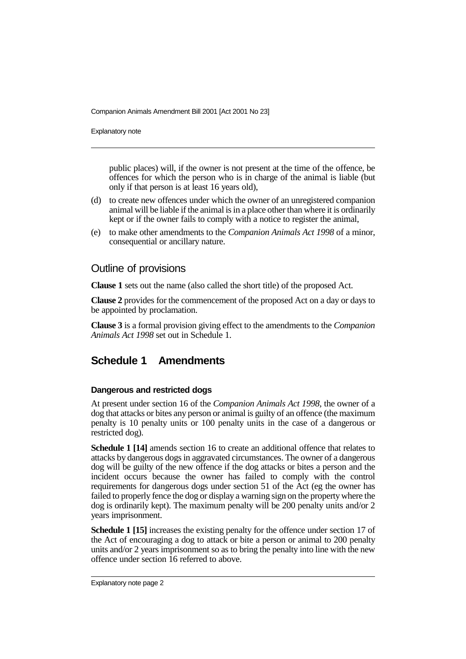Companion Animals Amendment Bill 2001 [Act 2001 No 23]

Explanatory note

public places) will, if the owner is not present at the time of the offence, be offences for which the person who is in charge of the animal is liable (but only if that person is at least 16 years old),

- (d) to create new offences under which the owner of an unregistered companion animal will be liable if the animal is in a place other than where it is ordinarily kept or if the owner fails to comply with a notice to register the animal,
- (e) to make other amendments to the *Companion Animals Act 1998* of a minor, consequential or ancillary nature.

### Outline of provisions

**Clause 1** sets out the name (also called the short title) of the proposed Act.

**Clause 2** provides for the commencement of the proposed Act on a day or days to be appointed by proclamation.

**Clause 3** is a formal provision giving effect to the amendments to the *Companion Animals Act 1998* set out in Schedule 1.

### **Schedule 1 Amendments**

### **Dangerous and restricted dogs**

At present under section 16 of the *Companion Animals Act 1998*, the owner of a dog that attacks or bites any person or animal is guilty of an offence (the maximum penalty is 10 penalty units or 100 penalty units in the case of a dangerous or restricted dog).

**Schedule 1 [14]** amends section 16 to create an additional offence that relates to attacks by dangerous dogs in aggravated circumstances. The owner of a dangerous dog will be guilty of the new offence if the dog attacks or bites a person and the incident occurs because the owner has failed to comply with the control requirements for dangerous dogs under section 51 of the Act (eg the owner has failed to properly fence the dog or display a warning sign on the property where the dog is ordinarily kept). The maximum penalty will be 200 penalty units and/or 2 years imprisonment.

**Schedule 1 [15]** increases the existing penalty for the offence under section 17 of the Act of encouraging a dog to attack or bite a person or animal to 200 penalty units and/or 2 years imprisonment so as to bring the penalty into line with the new offence under section 16 referred to above.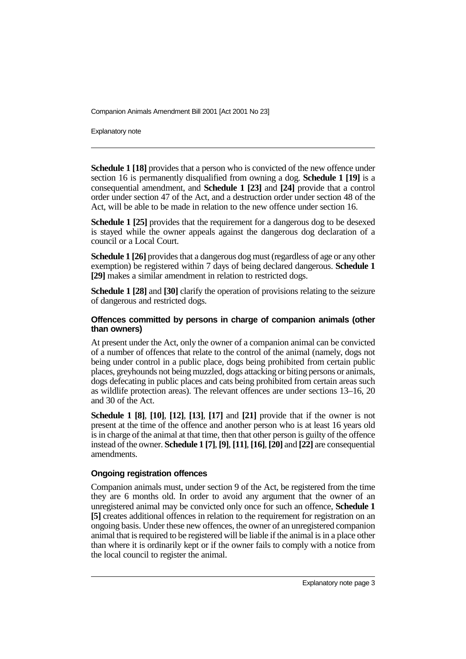Companion Animals Amendment Bill 2001 [Act 2001 No 23]

Explanatory note

**Schedule 1 [18]** provides that a person who is convicted of the new offence under section 16 is permanently disqualified from owning a dog. **Schedule 1 [19]** is a consequential amendment, and **Schedule 1 [23]** and **[24]** provide that a control order under section 47 of the Act, and a destruction order under section 48 of the Act, will be able to be made in relation to the new offence under section 16.

**Schedule 1 [25]** provides that the requirement for a dangerous dog to be desexed is stayed while the owner appeals against the dangerous dog declaration of a council or a Local Court.

**Schedule 1 [26]** provides that a dangerous dog must (regardless of age or any other exemption) be registered within 7 days of being declared dangerous. **Schedule 1 [29]** makes a similar amendment in relation to restricted dogs.

**Schedule 1 [28]** and **[30]** clarify the operation of provisions relating to the seizure of dangerous and restricted dogs.

### **Offences committed by persons in charge of companion animals (other than owners)**

At present under the Act, only the owner of a companion animal can be convicted of a number of offences that relate to the control of the animal (namely, dogs not being under control in a public place, dogs being prohibited from certain public places, greyhounds not being muzzled, dogs attacking or biting persons or animals, dogs defecating in public places and cats being prohibited from certain areas such as wildlife protection areas). The relevant offences are under sections 13–16, 20 and 30 of the Act.

**Schedule 1 [8]**, **[10]**, **[12]**, **[13]**, **[17]** and **[21]** provide that if the owner is not present at the time of the offence and another person who is at least 16 years old is in charge of the animal at that time, then that other person is guilty of the offence instead of the owner. **Schedule 1 [7]**, **[9]**, **[11]**, **[16]**, **[20]** and **[22]** are consequential amendments.

#### **Ongoing registration offences**

Companion animals must, under section 9 of the Act, be registered from the time they are 6 months old. In order to avoid any argument that the owner of an unregistered animal may be convicted only once for such an offence, **Schedule 1 [5]** creates additional offences in relation to the requirement for registration on an ongoing basis. Under these new offences, the owner of an unregistered companion animal that is required to be registered will be liable if the animal is in a place other than where it is ordinarily kept or if the owner fails to comply with a notice from the local council to register the animal.